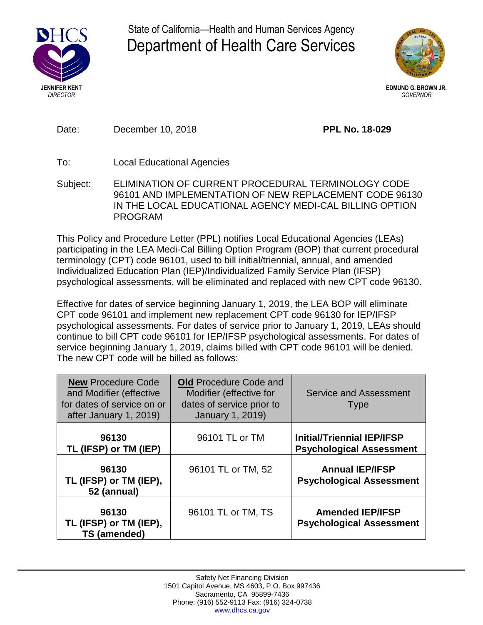

State of California—Health and Human Services Agency Department of Health Care Services



**EDMUND G. BROWN JR.** *GOVERNOR*

Date: December 10, 2018 **PPL No. 18-029**

- To: Local Educational Agencies
- Subject: ELIMINATION OF CURRENT PROCEDURAL TERMINOLOGY CODE 96101 AND IMPLEMENTATION OF NEW REPLACEMENT CODE 96130 IN THE LOCAL EDUCATIONAL AGENCY MEDI-CAL BILLING OPTION PROGRAM

This Policy and Procedure Letter (PPL) notifies Local Educational Agencies (LEAs) participating in the LEA Medi-Cal Billing Option Program (BOP) that current procedural terminology (CPT) code 96101, used to bill initial/triennial, annual, and amended Individualized Education Plan (IEP)/Individualized Family Service Plan (IFSP) psychological assessments, will be eliminated and replaced with new CPT code 96130.

Effective for dates of service beginning January 1, 2019, the LEA BOP will eliminate CPT code 96101 and implement new replacement CPT code 96130 for IEP/IFSP psychological assessments. For dates of service prior to January 1, 2019, LEAs should continue to bill CPT code 96101 for IEP/IFSP psychological assessments. For dates of service beginning January 1, 2019, claims billed with CPT code 96101 will be denied. The new CPT code will be billed as follows:

| <b>New Procedure Code</b><br>and Modifier (effective<br>for dates of service on or<br>after January 1, 2019) | <b>Old Procedure Code and</b><br>Modifier (effective for<br>dates of service prior to<br>January 1, 2019) | <b>Service and Assessment</b><br><b>Type</b>                         |
|--------------------------------------------------------------------------------------------------------------|-----------------------------------------------------------------------------------------------------------|----------------------------------------------------------------------|
| 96130<br>TL (IFSP) or TM (IEP)                                                                               | 96101 TL or TM                                                                                            | <b>Initial/Triennial IEP/IFSP</b><br><b>Psychological Assessment</b> |
| 96130<br>TL (IFSP) or TM (IEP),<br>52 (annual)                                                               | 96101 TL or TM, 52                                                                                        | <b>Annual IEP/IFSP</b><br><b>Psychological Assessment</b>            |
| 96130<br>TL (IFSP) or TM (IEP),<br>TS (amended)                                                              | 96101 TL or TM, TS                                                                                        | <b>Amended IEP/IFSP</b><br><b>Psychological Assessment</b>           |